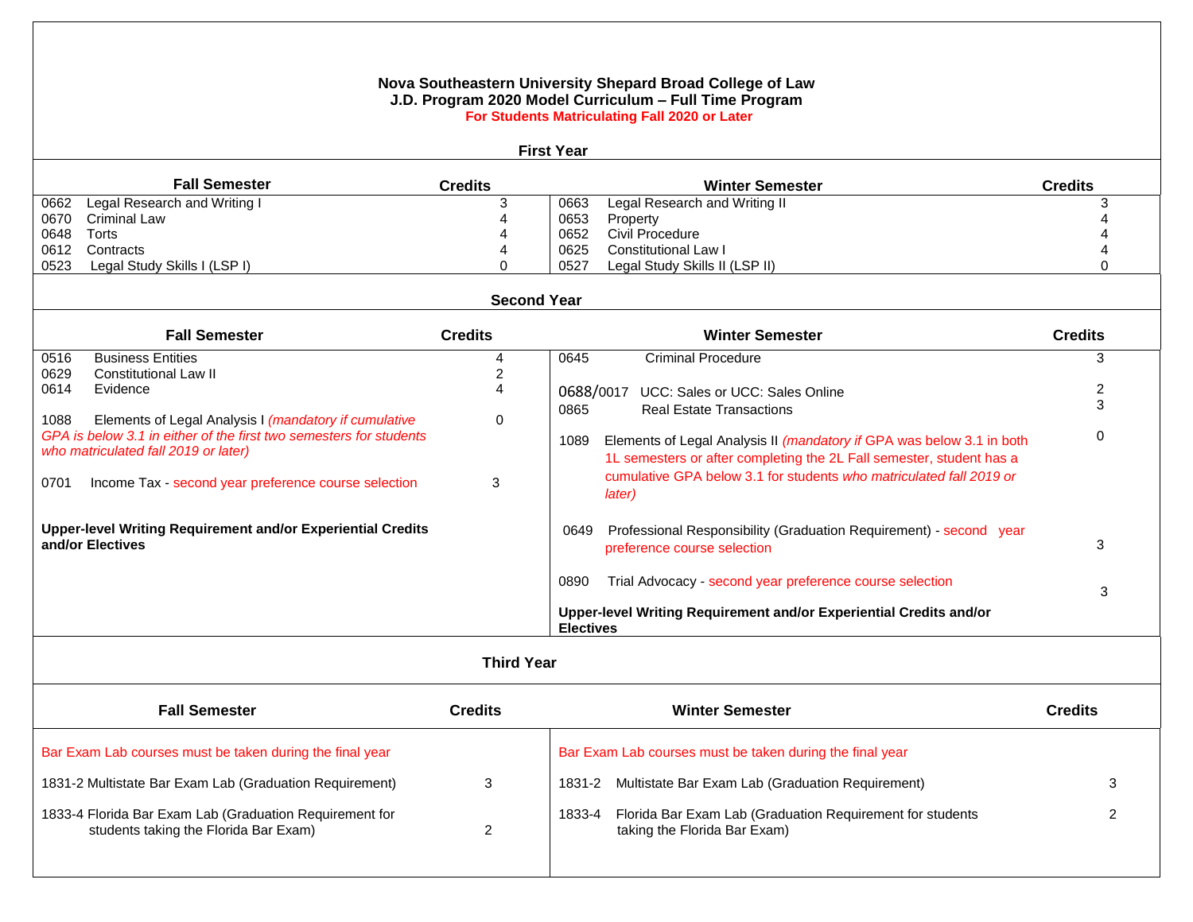## **Nova Southeastern University Shepard Broad College of Law J.D. Program 2020 Model Curriculum – Full Time Program For Students Matriculating Fall 2020 or Later First Year Fall Semester Credits Winter Semester Credits** 0662 Legal Research and Writing I 0670 Criminal Law 0648 Torts 0612 Contracts 0523 Legal Study Skills I (LSP I) 3 4 4 4 0 0663 Legal Research and Writing II 0653 Property 0652 Civil Procedure 0625 Constitutional Law I 0527 Legal Study Skills II (LSP II) 3 4 4 4 0  **Second Year Fall Semester Credits Winter Semester Credits** 0516 Business Entities 0629 Constitutional Law II 0614 Evidence 1088 Elements of Legal Analysis I *(mandatory if cumulative GPA is below 3.1 in either of the first two semesters for students who matriculated fall 2019 or later)* 0701 Income Tax - second year preference course selection **Upper-level Writing Requirement and/or Experiential Credits and/or Electives** 4 2 4 0 3 0645 Criminal Procedure 0688/0017 UCC: Sales or UCC: Sales Online 0865 Real Estate Transactions 1089 Elements of Legal Analysis II *(mandatory if* GPA was below 3.1 in both 1L semesters or after completing the 2L Fall semester, student has a cumulative GPA below 3.1 for students *who matriculated fall 2019 or later)* 0649 Professional Responsibility (Graduation Requirement) - second year preference course selection 0890 Trial Advocacy - second year preference course selection **Upper-level Writing Requirement and/or Experiential Credits and/or Electives** 3  $\mathfrak{p}$  3  $\Omega$  3 3  **Third Year Fall Semester Credits Winter Semester Credits**  Bar Exam Lab courses must be taken during the final year 1831-2 Multistate Bar Exam Lab (Graduation Requirement) 1833-4 Florida Bar Exam Lab (Graduation Requirement for students taking the Florida Bar Exam) 3  $\mathfrak{p}$ Bar Exam Lab courses must be taken during the final year 1831-2 Multistate Bar Exam Lab (Graduation Requirement) 1833-4 Florida Bar Exam Lab (Graduation Requirement for students taking the Florida Bar Exam) 3 2